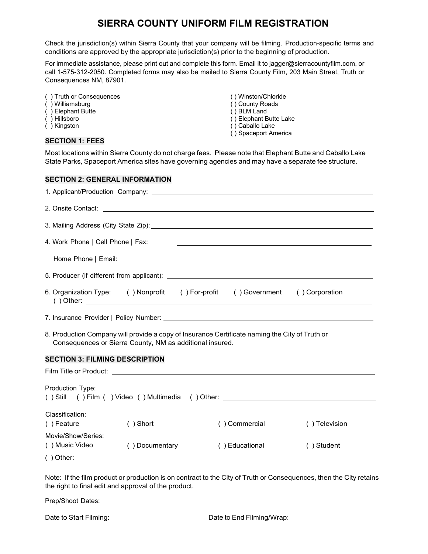## **SIERRA COUNTY UNIFORM FILM REGISTRATION**

Check the jurisdiction(s) within Sierra County that your company will be filming. Production-specific terms and conditions are approved by the appropriate jurisdiction(s) prior to the beginning of production.

 call 1-575-312-2050. Completed forms may also be mailed to Sierra County Film, 203 Main Street, Truth or For immediate assistance, please print out and complete this form. Email it to ja[gger@sierracountyfilm.com,](mailto:jagger@sierracountyfilm.com) or Consequences NM, 87901.

- ( ) Truth or Consequences ( ) Truth or Consequences ( ) Winston/Chloride ( ) Winston/Chloride ( ) Winston/Chloride ( ) Winston/Chloride ( ) Winston/Chloride ( ) Winston/Chloride ( ) Winston/Chloride ( ) Winston/Chloride (
- 
- ( ) Elephant Butte<br>( ) Hillsboro
- 
- 

## **SECTION 1: FEES**

- 
- ( ) County Roads<br>( ) BLM Land
- 
- ( ) Hillsboro ( ) Hillsboro ( ) Elephant Butte Lake ( ) Elephant Butte Lake ( ) Caballo Lake ( ) Caballo Lake
	- ( ) Caballo Lake
	- ( ) Spaceport America

Most locations within Sierra County do not charge fees. Please note that Elephant Butte and Caballo Lake State Parks, Spaceport America sites have governing agencies and may have a separate fee structure.

## **SECTION 2: GENERAL INFORMATION**

| 4. Work Phone   Cell Phone   Fax:                                                                                                                          |                                                                               |  |                                                                                                                                                                                                                               | the contract of the contract of the contract of the contract of the contract of the contract of the contract of |  |  |
|------------------------------------------------------------------------------------------------------------------------------------------------------------|-------------------------------------------------------------------------------|--|-------------------------------------------------------------------------------------------------------------------------------------------------------------------------------------------------------------------------------|-----------------------------------------------------------------------------------------------------------------|--|--|
|                                                                                                                                                            |                                                                               |  |                                                                                                                                                                                                                               |                                                                                                                 |  |  |
| Home Phone   Email:                                                                                                                                        |                                                                               |  | the control of the control of the control of the control of the control of the control of the control of the control of the control of the control of the control of the control of the control of the control of the control |                                                                                                                 |  |  |
|                                                                                                                                                            |                                                                               |  |                                                                                                                                                                                                                               |                                                                                                                 |  |  |
|                                                                                                                                                            | 6. Organization Type: () Nonprofit () For-profit () Government () Corporation |  |                                                                                                                                                                                                                               |                                                                                                                 |  |  |
|                                                                                                                                                            |                                                                               |  |                                                                                                                                                                                                                               |                                                                                                                 |  |  |
| 8. Production Company will provide a copy of Insurance Certificate naming the City of Truth or<br>Consequences or Sierra County, NM as additional insured. |                                                                               |  |                                                                                                                                                                                                                               |                                                                                                                 |  |  |
| <b>SECTION 3: FILMING DESCRIPTION</b>                                                                                                                      |                                                                               |  |                                                                                                                                                                                                                               |                                                                                                                 |  |  |
|                                                                                                                                                            |                                                                               |  |                                                                                                                                                                                                                               |                                                                                                                 |  |  |
| Production Type:                                                                                                                                           |                                                                               |  |                                                                                                                                                                                                                               | ( ) Still ( ) Film( )Video ( ) Multimedia ( )Other: ____________________________                                |  |  |
| Classification:                                                                                                                                            |                                                                               |  |                                                                                                                                                                                                                               |                                                                                                                 |  |  |
| () Feature                                                                                                                                                 | $( )$ Short                                                                   |  | () Commercial                                                                                                                                                                                                                 | () Television                                                                                                   |  |  |
| Movie/Show/Series:                                                                                                                                         |                                                                               |  |                                                                                                                                                                                                                               |                                                                                                                 |  |  |
| ( ) Music Video                                                                                                                                            | () Documentary                                                                |  | () Educational                                                                                                                                                                                                                | () Student                                                                                                      |  |  |
| $( )$ Other:                                                                                                                                               |                                                                               |  |                                                                                                                                                                                                                               |                                                                                                                 |  |  |

Note: If the film product or production is on contract to the City of Truth or Consequences, then the City retains the right to final edit and approval of the product.

Prep/Shoot Dates: